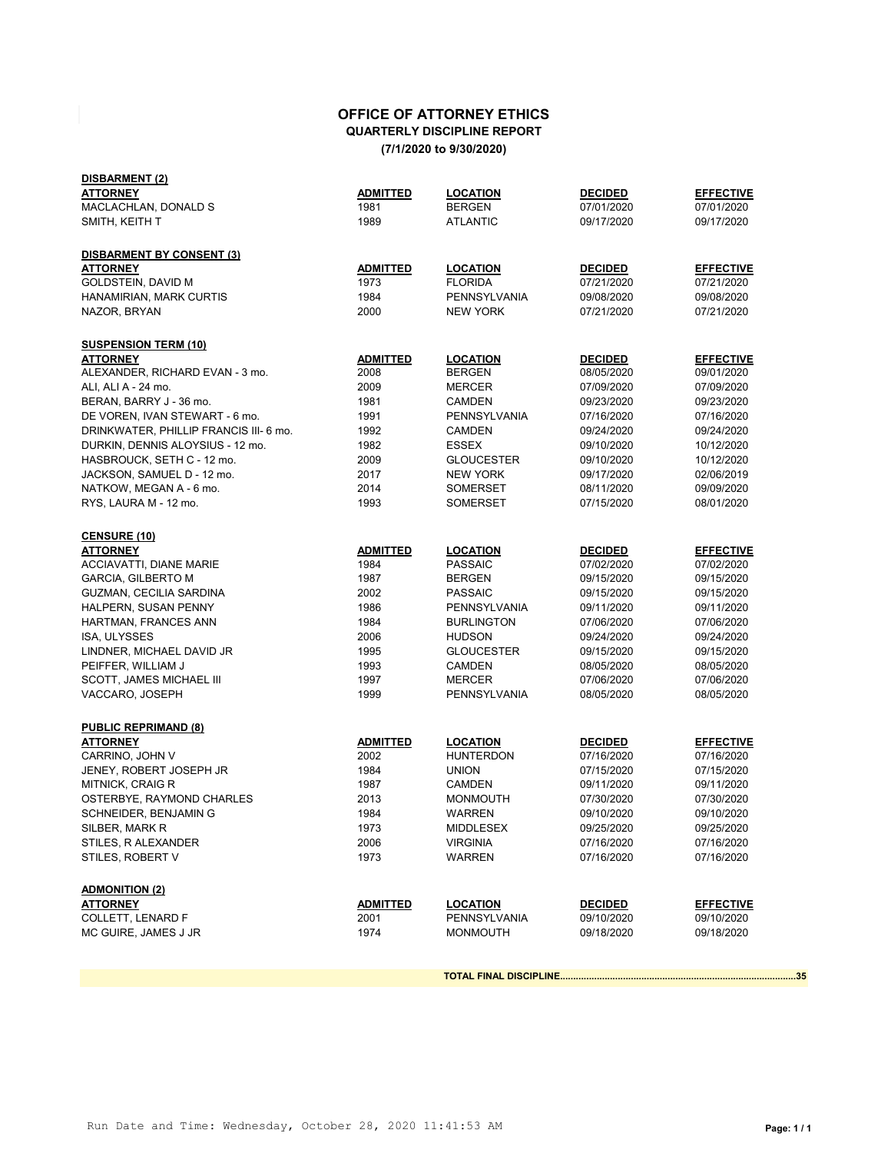## **OFFICE OF ATTORNEY ETHICS QUARTERLY DISCIPLINE REPORT (7/1/2020 to 9/30/2020)**

| DISBARMENT (2)                         |                 |                   |                |                  |
|----------------------------------------|-----------------|-------------------|----------------|------------------|
| ATTORNEY                               | ADMITTED        | <b>LOCATION</b>   | <b>DECIDED</b> | <b>EFFECTIVE</b> |
| MACLACHLAN, DONALD S                   | 1981            | <b>BERGEN</b>     | 07/01/2020     | 07/01/2020       |
| SMITH, KEITH T                         | 1989            | <b>ATLANTIC</b>   | 09/17/2020     | 09/17/2020       |
| DISBARMENT BY CONSENT (3)              |                 |                   |                |                  |
| <b>ATTORNEY</b>                        | <b>ADMITTED</b> | <b>LOCATION</b>   | <b>DECIDED</b> | <b>EFFECTIVE</b> |
| GOLDSTEIN, DAVID M                     | 1973            | <b>FLORIDA</b>    | 07/21/2020     | 07/21/2020       |
| HANAMIRIAN, MARK CURTIS                | 1984            | PENNSYLVANIA      | 09/08/2020     | 09/08/2020       |
| NAZOR, BRYAN                           | 2000            | <b>NEW YORK</b>   | 07/21/2020     | 07/21/2020       |
| <b>SUSPENSION TERM (10)</b>            |                 |                   |                |                  |
| <b>ATTORNEY</b>                        | ADMITTED        | <b>LOCATION</b>   | <b>DECIDED</b> | <b>EFFECTIVE</b> |
| ALEXANDER, RICHARD EVAN - 3 mo.        | 2008            | <b>BERGEN</b>     | 08/05/2020     | 09/01/2020       |
| ALI, ALI A - 24 mo.                    | 2009            | <b>MERCER</b>     | 07/09/2020     | 07/09/2020       |
| BERAN, BARRY J - 36 mo.                | 1981            | <b>CAMDEN</b>     | 09/23/2020     | 09/23/2020       |
| DE VOREN, IVAN STEWART - 6 mo.         | 1991            | PENNSYLVANIA      | 07/16/2020     | 07/16/2020       |
| DRINKWATER, PHILLIP FRANCIS III- 6 mo. | 1992            | <b>CAMDEN</b>     | 09/24/2020     | 09/24/2020       |
| DURKIN, DENNIS ALOYSIUS - 12 mo.       | 1982            | <b>ESSEX</b>      | 09/10/2020     | 10/12/2020       |
| HASBROUCK, SETH C - 12 mo.             | 2009            | <b>GLOUCESTER</b> | 09/10/2020     | 10/12/2020       |
| JACKSON, SAMUEL D - 12 mo.             | 2017            | <b>NEW YORK</b>   | 09/17/2020     | 02/06/2019       |
| NATKOW, MEGAN A - 6 mo.                | 2014            | <b>SOMERSET</b>   | 08/11/2020     | 09/09/2020       |
| RYS, LAURA M - 12 mo.                  | 1993            | <b>SOMERSET</b>   | 07/15/2020     | 08/01/2020       |
| <u>CENSURE (10)</u>                    |                 |                   |                |                  |
| ATTORNEY                               | ADMITTED        | <b>LOCATION</b>   | <b>DECIDED</b> | <b>EFFECTIVE</b> |
| <b>ACCIAVATTI, DIANE MARIE</b>         | 1984            | <b>PASSAIC</b>    | 07/02/2020     | 07/02/2020       |
| <b>GARCIA, GILBERTO M</b>              | 1987            | <b>BERGEN</b>     | 09/15/2020     | 09/15/2020       |
| GUZMAN, CECILIA SARDINA                | 2002            | <b>PASSAIC</b>    | 09/15/2020     | 09/15/2020       |
| HALPERN, SUSAN PENNY                   | 1986            | PENNSYLVANIA      | 09/11/2020     | 09/11/2020       |
| HARTMAN, FRANCES ANN                   | 1984            | <b>BURLINGTON</b> | 07/06/2020     | 07/06/2020       |
| ISA, ULYSSES                           | 2006            | <b>HUDSON</b>     | 09/24/2020     | 09/24/2020       |
| LINDNER, MICHAEL DAVID JR              | 1995            | <b>GLOUCESTER</b> | 09/15/2020     | 09/15/2020       |
| PEIFFER, WILLIAM J                     | 1993            | <b>CAMDEN</b>     | 08/05/2020     | 08/05/2020       |
| <b>SCOTT, JAMES MICHAEL III</b>        | 1997            | <b>MERCER</b>     | 07/06/2020     | 07/06/2020       |
| VACCARO, JOSEPH                        | 1999            | PENNSYLVANIA      | 08/05/2020     | 08/05/2020       |
| <b>PUBLIC REPRIMAND (8)</b>            |                 |                   |                |                  |
| <b>ATTORNEY</b>                        | <b>ADMITTED</b> | <b>LOCATION</b>   | <b>DECIDED</b> | <b>EFFECTIVE</b> |
| CARRINO, JOHN V                        | 2002            | <b>HUNTERDON</b>  | 07/16/2020     | 07/16/2020       |
| JENEY, ROBERT JOSEPH JR                | 1984            | <b>UNION</b>      | 07/15/2020     | 07/15/2020       |
| <b>MITNICK, CRAIG R</b>                | 1987            | CAMDEN            | 09/11/2020     | 09/11/2020       |
| OSTERBYE, RAYMOND CHARLES              | 2013            | <b>MONMOUTH</b>   | 07/30/2020     | 07/30/2020       |
| SCHNEIDER, BENJAMIN G                  | 1984            | <b>WARREN</b>     | 09/10/2020     | 09/10/2020       |
| SILBER, MARK R                         | 1973            | MIDDLESEX         | 09/25/2020     | 09/25/2020       |
| STILES, R ALEXANDER                    | 2006            | <b>VIRGINIA</b>   | 07/16/2020     | 07/16/2020       |
| STILES, ROBERT V                       | 1973            | <b>WARREN</b>     | 07/16/2020     | 07/16/2020       |
| <b>ADMONITION (2)</b>                  |                 |                   |                |                  |
| <b>ATTORNEY</b>                        | <b>ADMITTED</b> | <b>LOCATION</b>   | <b>DECIDED</b> | <b>EFFECTIVE</b> |
| <b>COLLETT, LENARD F</b>               | 2001            | PENNSYLVANIA      | 09/10/2020     | 09/10/2020       |
| MC GUIRE, JAMES J JR                   | 1974            | <b>MONMOUTH</b>   | 09/18/2020     | 09/18/2020       |
|                                        |                 |                   |                |                  |

**TOTAL FINAL DISCIPLINE..........................................................................................35**